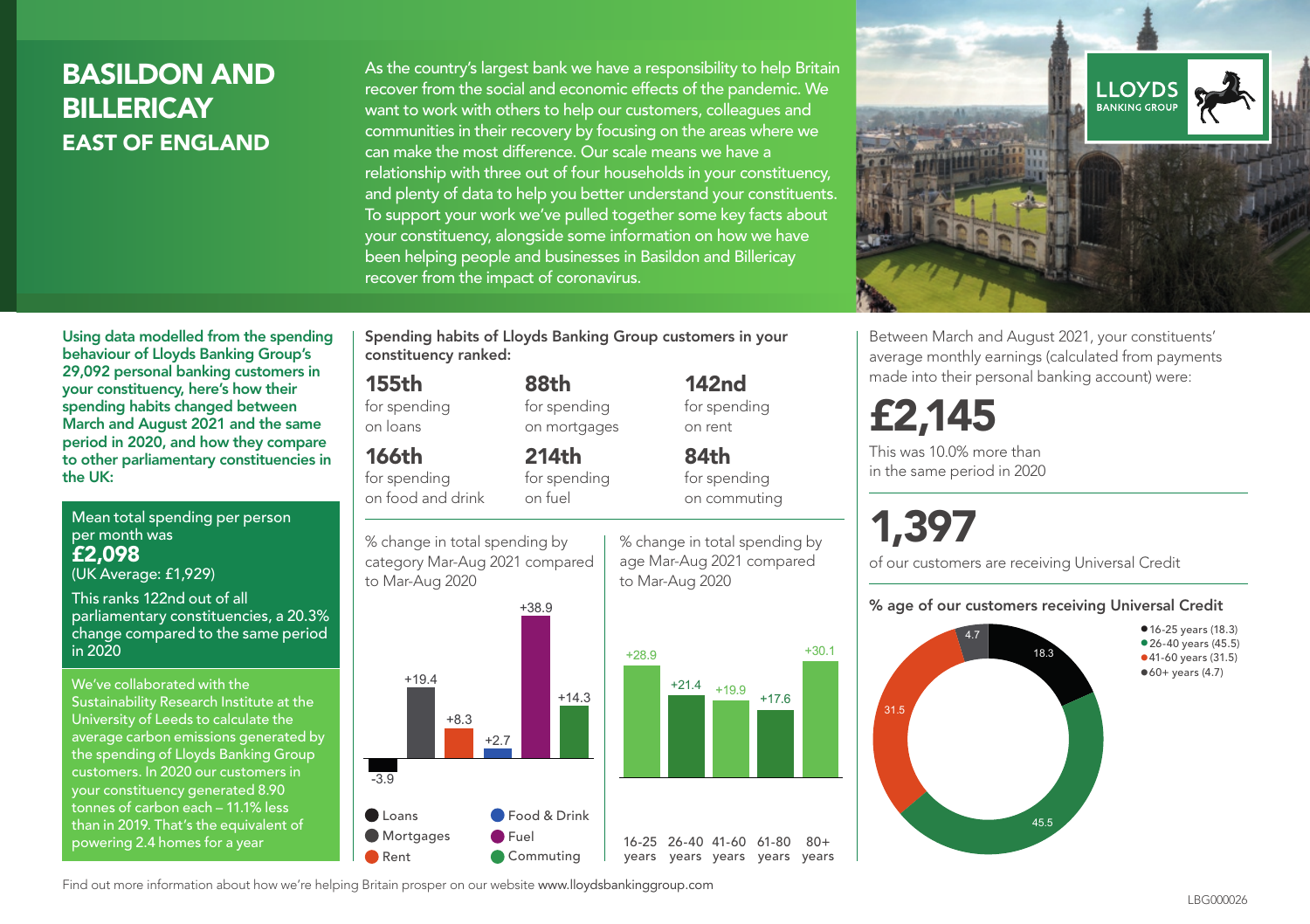## BASILDON AND BILLERICAY EAST OF ENGLAND

As the country's largest bank we have a responsibility to help Britain recover from the social and economic effects of the pandemic. We want to work with others to help our customers, colleagues and communities in their recovery by focusing on the areas where we can make the most difference. Our scale means we have a relationship with three out of four households in your constituency, and plenty of data to help you better understand your constituents. To support your work we've pulled together some key facts about your constituency, alongside some information on how we have been helping people and businesses in Basildon and Billericay recover from the impact of coronavirus.



Between March and August 2021, your constituents' average monthly earnings (calculated from payments made into their personal banking account) were:

## £2,145

This was 10.0% more than in the same period in 2020

# 1,397

of our customers are receiving Universal Credit

#### % age of our customers receiving Universal Credit



Using data modelled from the spending behaviour of Lloyds Banking Group's 29,092 personal banking customers in your constituency, here's how their spending habits changed between March and August 2021 and the same period in 2020, and how they compare to other parliamentary constituencies in the UK:

Mean total spending per person per month was £2,098

(UK Average: £1,929)

This ranks 122nd out of all parliamentary constituencies, a 20.3% change compared to the same period in 2020

We've collaborated with the Sustainability Research Institute at the University of Leeds to calculate the average carbon emissions generated by the spending of Lloyds Banking Group customers. In 2020 our customers in your constituency generated 8.90 tonnes of carbon each – 11.1% less than in 2019. That's the equivalent of powering 2.4 homes for a year

Spending habits of Lloyds Banking Group customers in your constituency ranked:

> 88th for spending on mortgages

214th

## 155th

for spending on loans

## 166th

for spending on food and drink



+38.9 % change in total spending by category Mar-Aug 2021 compared to Mar-Aug 2020



% change in total spending by on commuting

84th for spending

142nd for spending on rent

age Mar-Aug 2021 compared to Mar-Aug 2020

+30.1

 $80+$